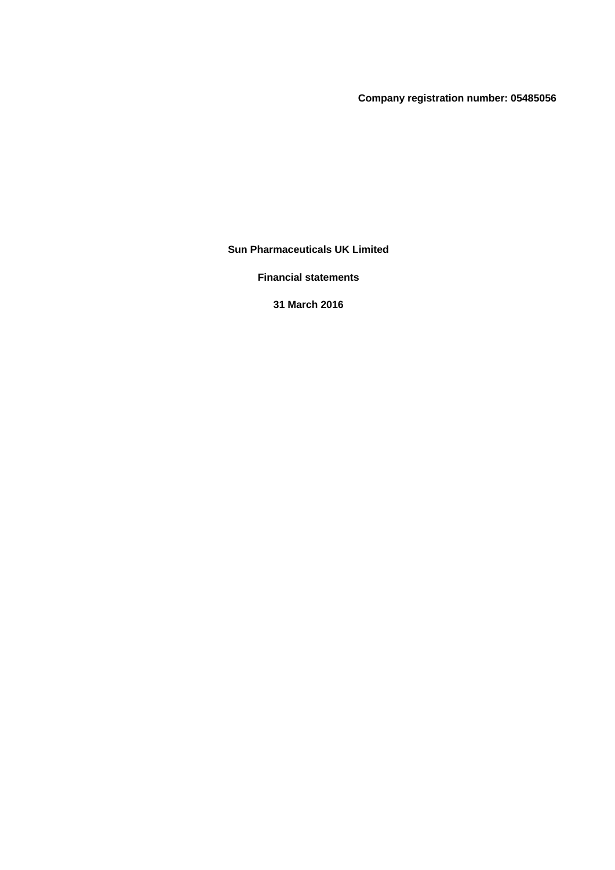**Company registration number: 05485056**

**Sun Pharmaceuticals UK Limited**

**Financial statements**

**31 March 2016**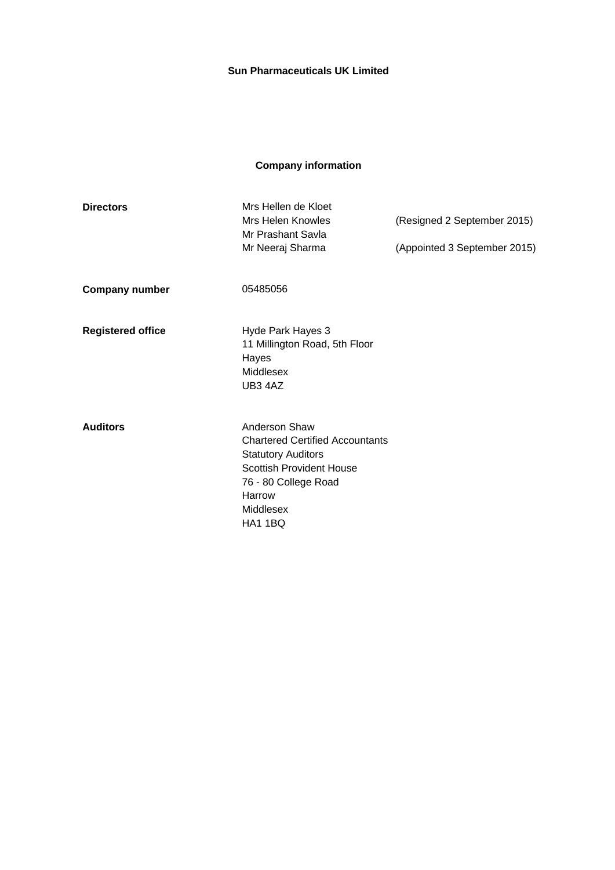# **Company information**

| <b>Directors</b>         | Mrs Hellen de Kloet<br><b>Mrs Helen Knowles</b><br>Mr Prashant Savla<br>Mr Neeraj Sharma                                                                                                 | (Resigned 2 September 2015)<br>(Appointed 3 September 2015) |
|--------------------------|------------------------------------------------------------------------------------------------------------------------------------------------------------------------------------------|-------------------------------------------------------------|
| <b>Company number</b>    | 05485056                                                                                                                                                                                 |                                                             |
| <b>Registered office</b> | Hyde Park Hayes 3<br>11 Millington Road, 5th Floor<br>Hayes<br>Middlesex<br>UB3 4AZ                                                                                                      |                                                             |
| <b>Auditors</b>          | Anderson Shaw<br><b>Chartered Certified Accountants</b><br><b>Statutory Auditors</b><br><b>Scottish Provident House</b><br>76 - 80 College Road<br>Harrow<br>Middlesex<br><b>HA1 1BQ</b> |                                                             |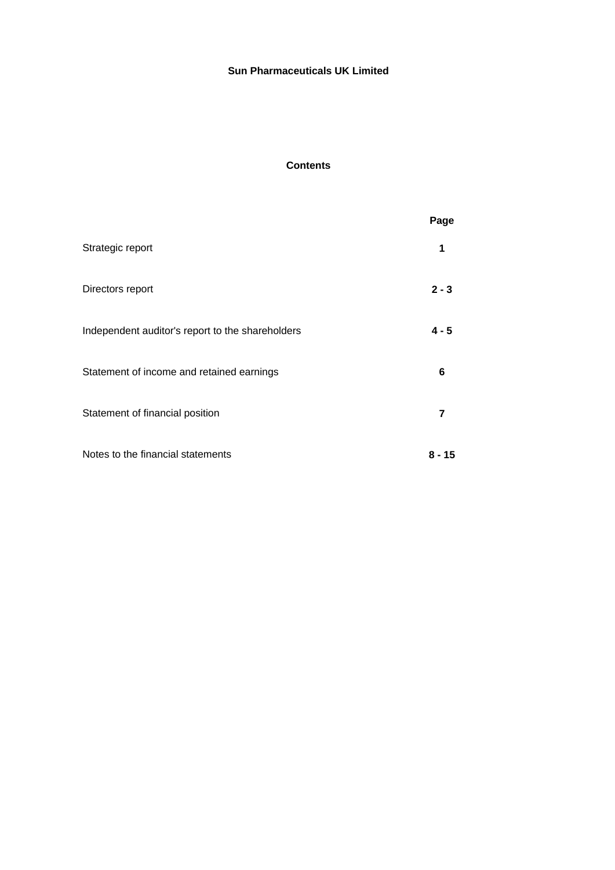# **Contents**

|                                                  | Page    |
|--------------------------------------------------|---------|
| Strategic report                                 | 1       |
| Directors report                                 | $2 - 3$ |
| Independent auditor's report to the shareholders | 4 - 5   |
| Statement of income and retained earnings        | 6       |
| Statement of financial position                  | 7       |
| Notes to the financial statements                | 8 - 15  |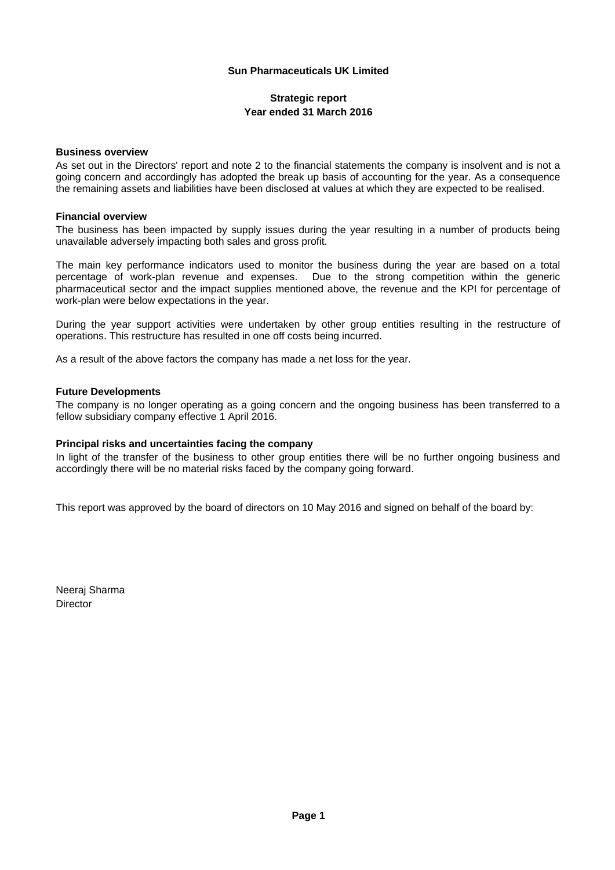## **Strategic report Year ended 31 March 2016**

## **Business overview**

As set out in the Directors' report and note 2 to the financial statements the company is insolvent and is not a going concern and accordingly has adopted the break up basis of accounting for the year. As a consequence the remaining assets and liabilities have been disclosed at values at which they are expected to be realised.

### **Financial overview**

The business has been impacted by supply issues during the year resulting in a number of products being unavailable adversely impacting both sales and gross profit.

The main key performance indicators used to monitor the business during the year are based on a total percentage of work-plan revenue and expenses. Due to the strong competition within the generic pharmaceutical sector and the impact supplies mentioned above, the revenue and the KPI for percentage of work-plan were below expectations in the year.

During the year support activities were undertaken by other group entities resulting in the restructure of operations. This restructure has resulted in one off costs being incurred.

As a result of the above factors the company has made a net loss for the year.

### **Future Developments**

The company is no longer operating as a going concern and the ongoing business has been transferred to a fellow subsidiary company effective 1 April 2016.

### **Principal risks and uncertainties facing the company**

In light of the transfer of the business to other group entities there will be no further ongoing business and accordingly there will be no material risks faced by the company going forward.

This report was approved by the board of directors on 10 May 2016 and signed on behalf of the board by:

Neeraj Sharma Director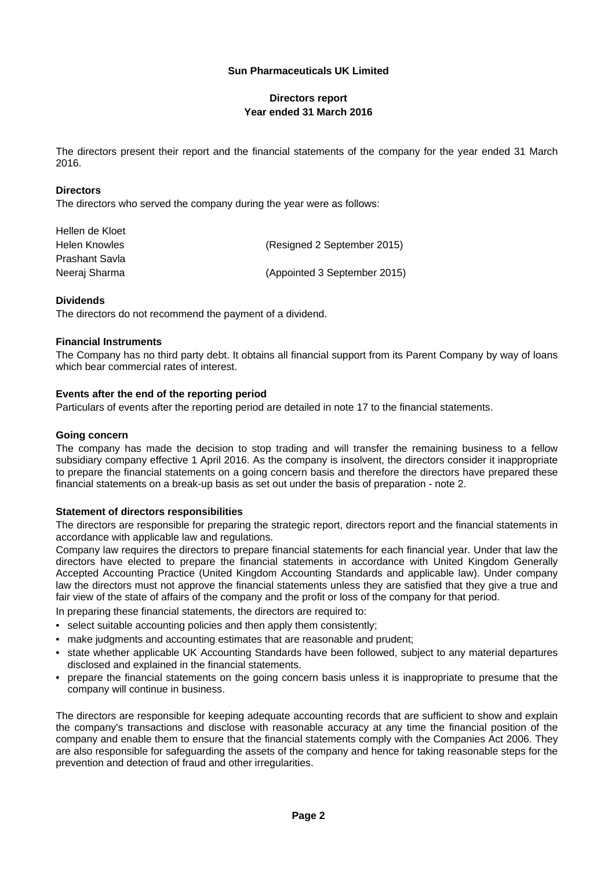# **Directors report Year ended 31 March 2016**

The directors present their report and the financial statements of the company for the year ended 31 March 2016.

# **Directors**

The directors who served the company during the year were as follows:

| Hellen de Kloet |                              |
|-----------------|------------------------------|
| Helen Knowles   | (Resigned 2 September 2015)  |
| Prashant Savla  |                              |
| Neeraj Sharma   | (Appointed 3 September 2015) |

## **Dividends**

The directors do not recommend the payment of a dividend.

## **Financial Instruments**

The Company has no third party debt. It obtains all financial support from its Parent Company by way of loans which bear commercial rates of interest.

## **Events after the end of the reporting period**

Particulars of events after the reporting period are detailed in note 17 to the financial statements.

### **Going concern**

The company has made the decision to stop trading and will transfer the remaining business to a fellow subsidiary company effective 1 April 2016. As the company is insolvent, the directors consider it inappropriate to prepare the financial statements on a going concern basis and therefore the directors have prepared these financial statements on a break-up basis as set out under the basis of preparation - note 2.

### **Statement of directors responsibilities**

The directors are responsible for preparing the strategic report, directors report and the financial statements in accordance with applicable law and regulations.

Company law requires the directors to prepare financial statements for each financial year. Under that law the directors have elected to prepare the financial statements in accordance with United Kingdom Generally Accepted Accounting Practice (United Kingdom Accounting Standards and applicable law). Under company law the directors must not approve the financial statements unless they are satisfied that they give a true and fair view of the state of affairs of the company and the profit or loss of the company for that period.

In preparing these financial statements, the directors are required to:

- select suitable accounting policies and then apply them consistently;
- make judgments and accounting estimates that are reasonable and prudent;
- state whether applicable UK Accounting Standards have been followed, subject to any material departures disclosed and explained in the financial statements.
- prepare the financial statements on the going concern basis unless it is inappropriate to presume that the company will continue in business.

The directors are responsible for keeping adequate accounting records that are sufficient to show and explain the company's transactions and disclose with reasonable accuracy at any time the financial position of the company and enable them to ensure that the financial statements comply with the Companies Act 2006. They are also responsible for safeguarding the assets of the company and hence for taking reasonable steps for the prevention and detection of fraud and other irregularities.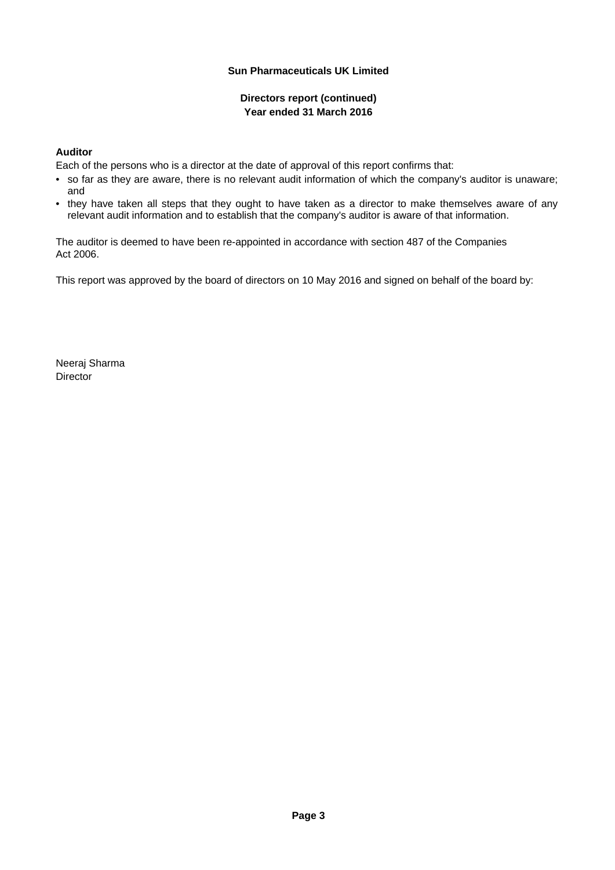# **Directors report (continued) Year ended 31 March 2016**

# **Auditor**

Each of the persons who is a director at the date of approval of this report confirms that:

- so far as they are aware, there is no relevant audit information of which the company's auditor is unaware; and
- they have taken all steps that they ought to have taken as a director to make themselves aware of any relevant audit information and to establish that the company's auditor is aware of that information.

The auditor is deemed to have been re-appointed in accordance with section 487 of the Companies Act 2006.

This report was approved by the board of directors on 10 May 2016 and signed on behalf of the board by:

Neeraj Sharma **Director**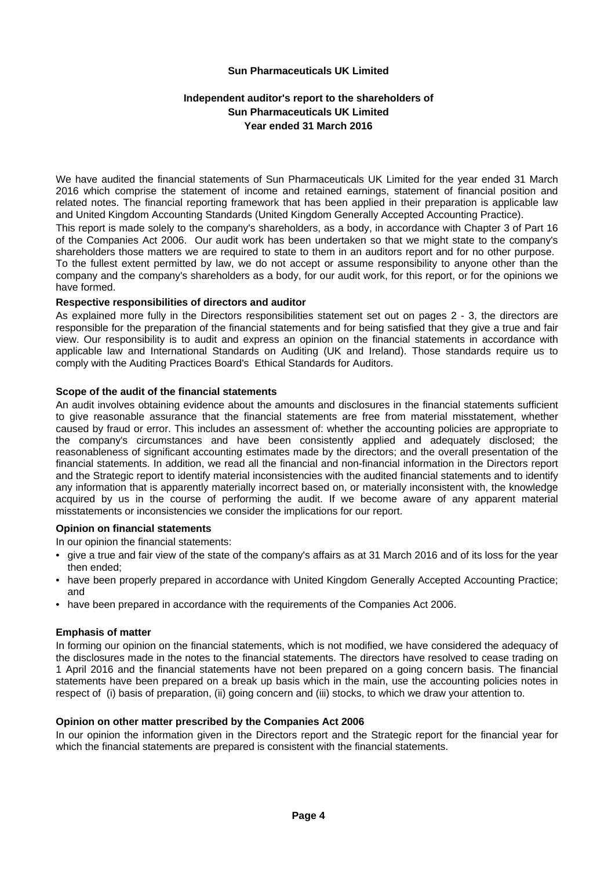## **Independent auditor's report to the shareholders of Sun Pharmaceuticals UK Limited Year ended 31 March 2016**

We have audited the financial statements of Sun Pharmaceuticals UK Limited for the year ended 31 March 2016 which comprise the statement of income and retained earnings, statement of financial position and related notes. The financial reporting framework that has been applied in their preparation is applicable law and United Kingdom Accounting Standards (United Kingdom Generally Accepted Accounting Practice). This report is made solely to the company's shareholders, as a body, in accordance with Chapter 3 of Part 16 of the Companies Act 2006. Our audit work has been undertaken so that we might state to the company's shareholders those matters we are required to state to them in an auditors report and for no other purpose. To the fullest extent permitted by law, we do not accept or assume responsibility to anyone other than the company and the company's shareholders as a body, for our audit work, for this report, or for the opinions we have formed.

### **Respective responsibilities of directors and auditor**

As explained more fully in the Directors responsibilities statement set out on pages 2 - 3, the directors are responsible for the preparation of the financial statements and for being satisfied that they give a true and fair view. Our responsibility is to audit and express an opinion on the financial statements in accordance with applicable law and International Standards on Auditing (UK and Ireland). Those standards require us to comply with the Auditing Practices Board's Ethical Standards for Auditors.

## **Scope of the audit of the financial statements**

An audit involves obtaining evidence about the amounts and disclosures in the financial statements sufficient to give reasonable assurance that the financial statements are free from material misstatement, whether caused by fraud or error. This includes an assessment of: whether the accounting policies are appropriate to the company's circumstances and have been consistently applied and adequately disclosed; the reasonableness of significant accounting estimates made by the directors; and the overall presentation of the financial statements. In addition, we read all the financial and non-financial information in the Directors report and the Strategic report to identify material inconsistencies with the audited financial statements and to identify any information that is apparently materially incorrect based on, or materially inconsistent with, the knowledge acquired by us in the course of performing the audit. If we become aware of any apparent material misstatements or inconsistencies we consider the implications for our report.

### **Opinion on financial statements**

In our opinion the financial statements:

- give a true and fair view of the state of the company's affairs as at 31 March 2016 and of its loss for the year then ended;
- have been properly prepared in accordance with United Kingdom Generally Accepted Accounting Practice; and
- have been prepared in accordance with the requirements of the Companies Act 2006.

## **Emphasis of matter**

In forming our opinion on the financial statements, which is not modified, we have considered the adequacy of the disclosures made in the notes to the financial statements. The directors have resolved to cease trading on 1 April 2016 and the financial statements have not been prepared on a going concern basis. The financial statements have been prepared on a break up basis which in the main, use the accounting policies notes in respect of (i) basis of preparation, (ii) going concern and (iii) stocks, to which we draw your attention to.

### **Opinion on other matter prescribed by the Companies Act 2006**

In our opinion the information given in the Directors report and the Strategic report for the financial year for which the financial statements are prepared is consistent with the financial statements.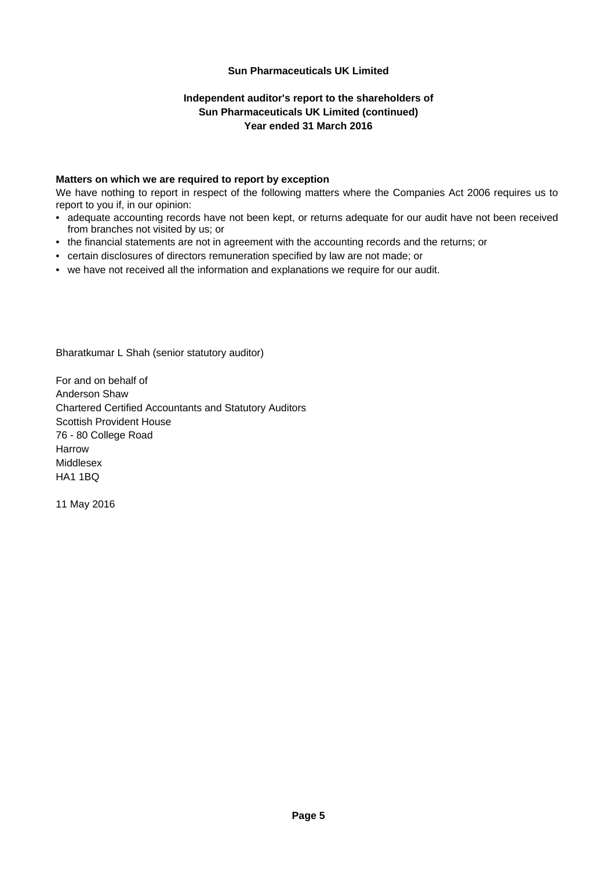# **Independent auditor's report to the shareholders of Sun Pharmaceuticals UK Limited (continued) Year ended 31 March 2016**

## **Matters on which we are required to report by exception**

We have nothing to report in respect of the following matters where the Companies Act 2006 requires us to report to you if, in our opinion:

- adequate accounting records have not been kept, or returns adequate for our audit have not been received from branches not visited by us; or
- the financial statements are not in agreement with the accounting records and the returns; or
- certain disclosures of directors remuneration specified by law are not made; or
- we have not received all the information and explanations we require for our audit.

Bharatkumar L Shah (senior statutory auditor)

For and on behalf of Anderson Shaw Chartered Certified Accountants and Statutory Auditors Scottish Provident House 76 - 80 College Road Harrow Middlesex HA1 1BQ

11 May 2016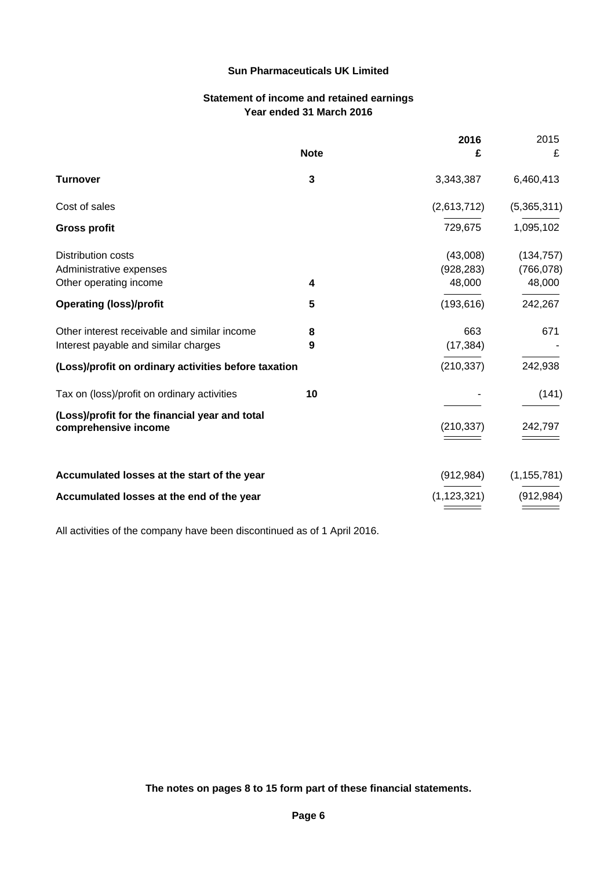# **Statement of income and retained earnings Year ended 31 March 2016**

|                                                                        |             | 2016                 | 2015                 |
|------------------------------------------------------------------------|-------------|----------------------|----------------------|
|                                                                        | <b>Note</b> | £                    | £                    |
| <b>Turnover</b>                                                        | 3           | 3,343,387            | 6,460,413            |
| Cost of sales                                                          |             | (2,613,712)          | (5,365,311)          |
| <b>Gross profit</b>                                                    |             | 729,675              | 1,095,102            |
| <b>Distribution costs</b>                                              |             | (43,008)             | (134, 757)           |
| Administrative expenses<br>Other operating income                      | 4           | (928, 283)<br>48,000 | (766, 078)<br>48,000 |
| <b>Operating (loss)/profit</b>                                         | 5           | (193, 616)           | 242,267              |
| Other interest receivable and similar income                           | 8           | 663                  | 671                  |
| Interest payable and similar charges                                   | 9           | (17, 384)            |                      |
| (Loss)/profit on ordinary activities before taxation                   |             | (210, 337)           | 242,938              |
| Tax on (loss)/profit on ordinary activities                            | 10          |                      | (141)                |
| (Loss)/profit for the financial year and total<br>comprehensive income |             | (210, 337)           | 242,797              |
| Accumulated losses at the start of the year                            |             | (912, 984)           | (1, 155, 781)        |
| Accumulated losses at the end of the year                              |             | (1, 123, 321)        | (912, 984)           |

All activities of the company have been discontinued as of 1 April 2016.

**The notes on pages 8 to 15 form part of these financial statements.**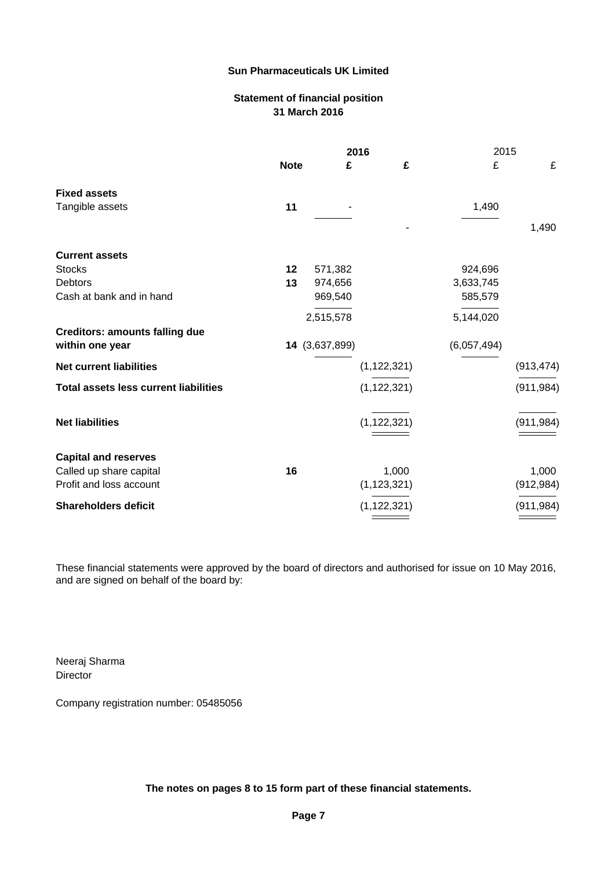# **Statement of financial position 31 March 2016**

|                                                          | 2016        |                | 2015          |             |            |
|----------------------------------------------------------|-------------|----------------|---------------|-------------|------------|
|                                                          | <b>Note</b> | £              | £             | £           | £          |
| <b>Fixed assets</b>                                      |             |                |               |             |            |
| Tangible assets                                          | 11          |                |               | 1,490       |            |
|                                                          |             |                |               |             | 1,490      |
| <b>Current assets</b>                                    |             |                |               |             |            |
| <b>Stocks</b>                                            | $12 \,$     | 571,382        |               | 924,696     |            |
| Debtors                                                  | 13          | 974,656        |               | 3,633,745   |            |
| Cash at bank and in hand                                 |             | 969,540        |               | 585,579     |            |
|                                                          |             | 2,515,578      |               | 5,144,020   |            |
| <b>Creditors: amounts falling due</b><br>within one year |             | 14 (3,637,899) |               | (6,057,494) |            |
| <b>Net current liabilities</b>                           |             |                | (1, 122, 321) |             | (913, 474) |
| <b>Total assets less current liabilities</b>             |             |                | (1, 122, 321) |             | (911, 984) |
| <b>Net liabilities</b>                                   |             |                | (1, 122, 321) |             | (911, 984) |
| <b>Capital and reserves</b>                              |             |                |               |             |            |
| Called up share capital                                  | 16          |                | 1,000         |             | 1,000      |
| Profit and loss account                                  |             |                | (1, 123, 321) |             | (912, 984) |
| <b>Shareholders deficit</b>                              |             |                | (1, 122, 321) |             | (911, 984) |

These financial statements were approved by the board of directors and authorised for issue on 10 May 2016, and are signed on behalf of the board by:

Neeraj Sharma Director

Company registration number: 05485056

**The notes on pages 8 to 15 form part of these financial statements.**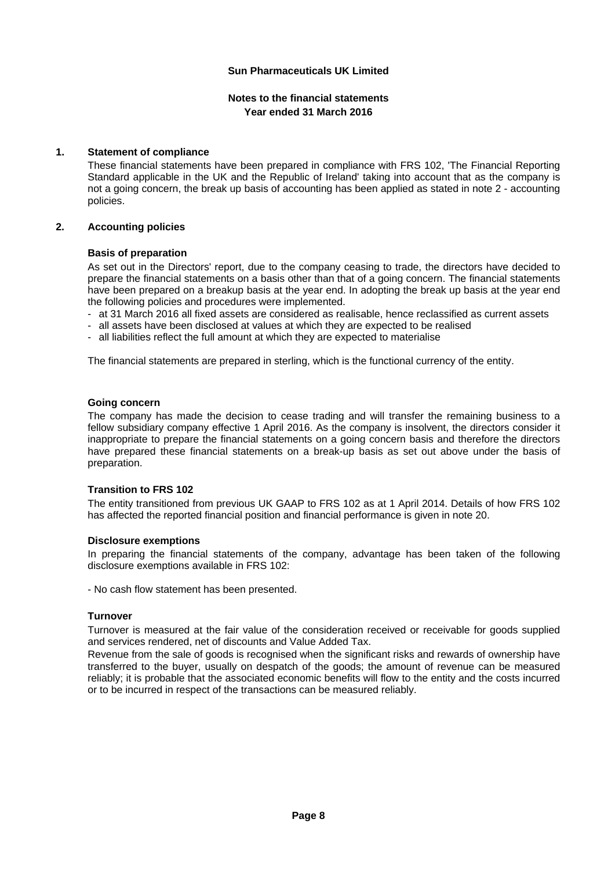## **Notes to the financial statements Year ended 31 March 2016**

## **1. Statement of compliance**

These financial statements have been prepared in compliance with FRS 102, 'The Financial Reporting Standard applicable in the UK and the Republic of Ireland' taking into account that as the company is not a going concern, the break up basis of accounting has been applied as stated in note 2 - accounting policies.

## **2. Accounting policies**

### **Basis of preparation**

As set out in the Directors' report, due to the company ceasing to trade, the directors have decided to prepare the financial statements on a basis other than that of a going concern. The financial statements have been prepared on a breakup basis at the year end. In adopting the break up basis at the year end the following policies and procedures were implemented.

- at 31 March 2016 all fixed assets are considered as realisable, hence reclassified as current assets
- all assets have been disclosed at values at which they are expected to be realised
- all liabilities reflect the full amount at which they are expected to materialise

The financial statements are prepared in sterling, which is the functional currency of the entity.

### **Going concern**

The company has made the decision to cease trading and will transfer the remaining business to a fellow subsidiary company effective 1 April 2016. As the company is insolvent, the directors consider it inappropriate to prepare the financial statements on a going concern basis and therefore the directors have prepared these financial statements on a break-up basis as set out above under the basis of preparation.

## **Transition to FRS 102**

The entity transitioned from previous UK GAAP to FRS 102 as at 1 April 2014. Details of how FRS 102 has affected the reported financial position and financial performance is given in note 20.

### **Disclosure exemptions**

In preparing the financial statements of the company, advantage has been taken of the following disclosure exemptions available in FRS 102:

- No cash flow statement has been presented.

## **Turnover**

Turnover is measured at the fair value of the consideration received or receivable for goods supplied and services rendered, net of discounts and Value Added Tax.

Revenue from the sale of goods is recognised when the significant risks and rewards of ownership have transferred to the buyer, usually on despatch of the goods; the amount of revenue can be measured reliably; it is probable that the associated economic benefits will flow to the entity and the costs incurred or to be incurred in respect of the transactions can be measured reliably.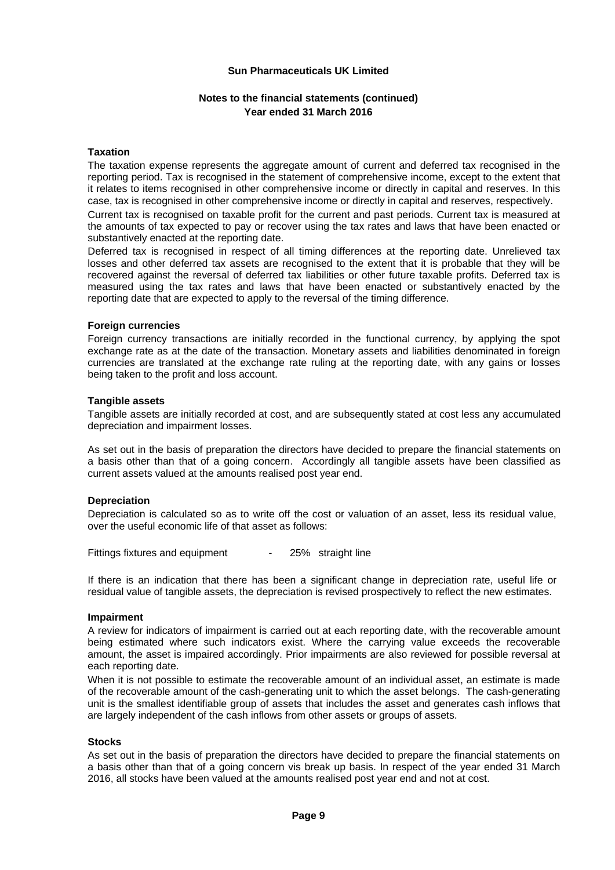## **Notes to the financial statements (continued) Year ended 31 March 2016**

### **Taxation**

The taxation expense represents the aggregate amount of current and deferred tax recognised in the reporting period. Tax is recognised in the statement of comprehensive income, except to the extent that it relates to items recognised in other comprehensive income or directly in capital and reserves. In this case, tax is recognised in other comprehensive income or directly in capital and reserves, respectively.

Current tax is recognised on taxable profit for the current and past periods. Current tax is measured at the amounts of tax expected to pay or recover using the tax rates and laws that have been enacted or substantively enacted at the reporting date.

Deferred tax is recognised in respect of all timing differences at the reporting date. Unrelieved tax losses and other deferred tax assets are recognised to the extent that it is probable that they will be recovered against the reversal of deferred tax liabilities or other future taxable profits. Deferred tax is measured using the tax rates and laws that have been enacted or substantively enacted by the reporting date that are expected to apply to the reversal of the timing difference.

#### **Foreign currencies**

Foreign currency transactions are initially recorded in the functional currency, by applying the spot exchange rate as at the date of the transaction. Monetary assets and liabilities denominated in foreign currencies are translated at the exchange rate ruling at the reporting date, with any gains or losses being taken to the profit and loss account.

### **Tangible assets**

Tangible assets are initially recorded at cost, and are subsequently stated at cost less any accumulated depreciation and impairment losses.

As set out in the basis of preparation the directors have decided to prepare the financial statements on a basis other than that of a going concern. Accordingly all tangible assets have been classified as current assets valued at the amounts realised post year end.

### **Depreciation**

Depreciation is calculated so as to write off the cost or valuation of an asset, less its residual value, over the useful economic life of that asset as follows:

Fittings fixtures and equipment - 25% straight line

If there is an indication that there has been a significant change in depreciation rate, useful life or residual value of tangible assets, the depreciation is revised prospectively to reflect the new estimates.

### **Impairment**

A review for indicators of impairment is carried out at each reporting date, with the recoverable amount being estimated where such indicators exist. Where the carrying value exceeds the recoverable amount, the asset is impaired accordingly. Prior impairments are also reviewed for possible reversal at each reporting date.

When it is not possible to estimate the recoverable amount of an individual asset, an estimate is made of the recoverable amount of the cash-generating unit to which the asset belongs. The cash-generating unit is the smallest identifiable group of assets that includes the asset and generates cash inflows that are largely independent of the cash inflows from other assets or groups of assets.

#### **Stocks**

As set out in the basis of preparation the directors have decided to prepare the financial statements on a basis other than that of a going concern vis break up basis. In respect of the year ended 31 March 2016, all stocks have been valued at the amounts realised post year end and not at cost.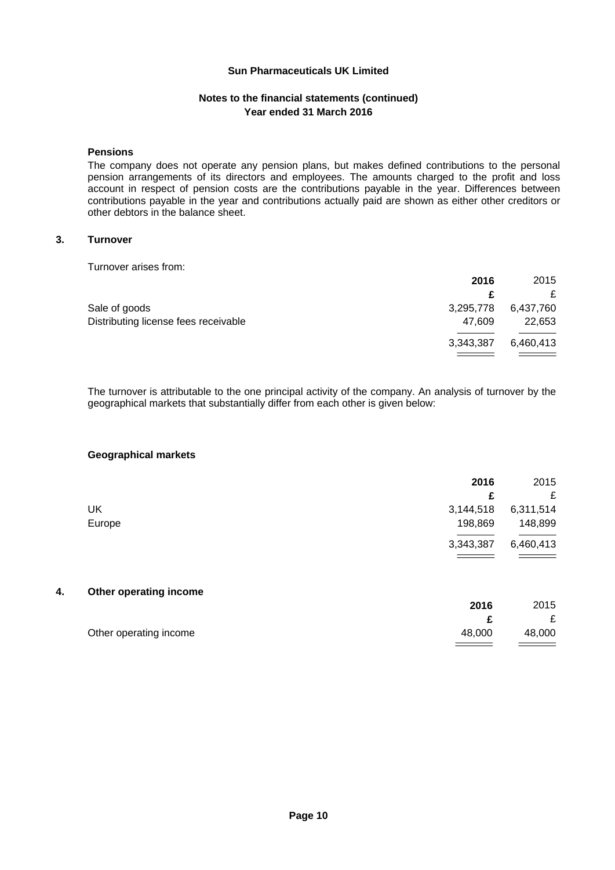## **Notes to the financial statements (continued) Year ended 31 March 2016**

### **Pensions**

The company does not operate any pension plans, but makes defined contributions to the personal pension arrangements of its directors and employees. The amounts charged to the profit and loss account in respect of pension costs are the contributions payable in the year. Differences between contributions payable in the year and contributions actually paid are shown as either other creditors or other debtors in the balance sheet.

## **3. Turnover**

Turnover arises from:

|                                      | 2016      | 2015      |
|--------------------------------------|-----------|-----------|
|                                      |           | £         |
| Sale of goods                        | 3,295,778 | 6,437,760 |
| Distributing license fees receivable | 47.609    | 22,653    |
|                                      | 3,343,387 | 6,460,413 |
|                                      |           |           |

The turnover is attributable to the one principal activity of the company. An analysis of turnover by the geographical markets that substantially differ from each other is given below:

### **Geographical markets**

|        | 2016      | 2015      |
|--------|-----------|-----------|
|        | £         | £         |
| UK     | 3,144,518 | 6,311,514 |
| Europe | 198,869   | 148,899   |
|        | 3,343,387 | 6,460,413 |
|        |           |           |

### **4. Other operating income**

|                        | 2016   | 2015   |
|------------------------|--------|--------|
|                        |        | £      |
| Other operating income | 48,000 | 48,000 |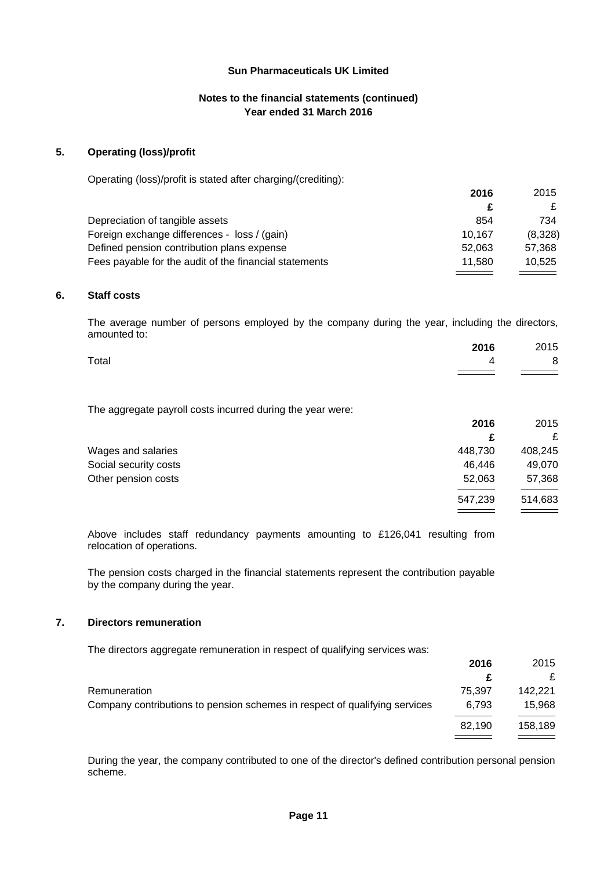## **Notes to the financial statements (continued) Year ended 31 March 2016**

## **5. Operating (loss)/profit**

Operating (loss)/profit is stated after charging/(crediting):

|                                                        | 2016   | 2015    |
|--------------------------------------------------------|--------|---------|
|                                                        |        |         |
| Depreciation of tangible assets                        | 854    | 734     |
| Foreign exchange differences - loss / (gain)           | 10,167 | (8,328) |
| Defined pension contribution plans expense             | 52.063 | 57,368  |
| Fees payable for the audit of the financial statements | 11.580 | 10.525  |

### **6. Staff costs**

The average number of persons employed by the company during the year, including the directors, amounted to:

|       | 2016 | 2015 |
|-------|------|------|
| Total |      | 8    |
|       |      |      |

The aggregate payroll costs incurred during the year were:

|                       | 2016    | 2015    |
|-----------------------|---------|---------|
|                       | £       | £       |
| Wages and salaries    | 448,730 | 408,245 |
| Social security costs | 46.446  | 49,070  |
| Other pension costs   | 52,063  | 57,368  |
|                       | 547,239 | 514,683 |
|                       |         |         |

Above includes staff redundancy payments amounting to £126,041 resulting from relocation of operations.

The pension costs charged in the financial statements represent the contribution payable by the company during the year.

# **7. Directors remuneration**

The directors aggregate remuneration in respect of qualifying services was:

|                                                                            | 2016   | 2015    |
|----------------------------------------------------------------------------|--------|---------|
|                                                                            |        |         |
| Remuneration                                                               | 75.397 | 142.221 |
| Company contributions to pension schemes in respect of qualifying services | 6.793  | 15.968  |
|                                                                            | 82.190 | 158.189 |
|                                                                            |        |         |

During the year, the company contributed to one of the director's defined contribution personal pension scheme.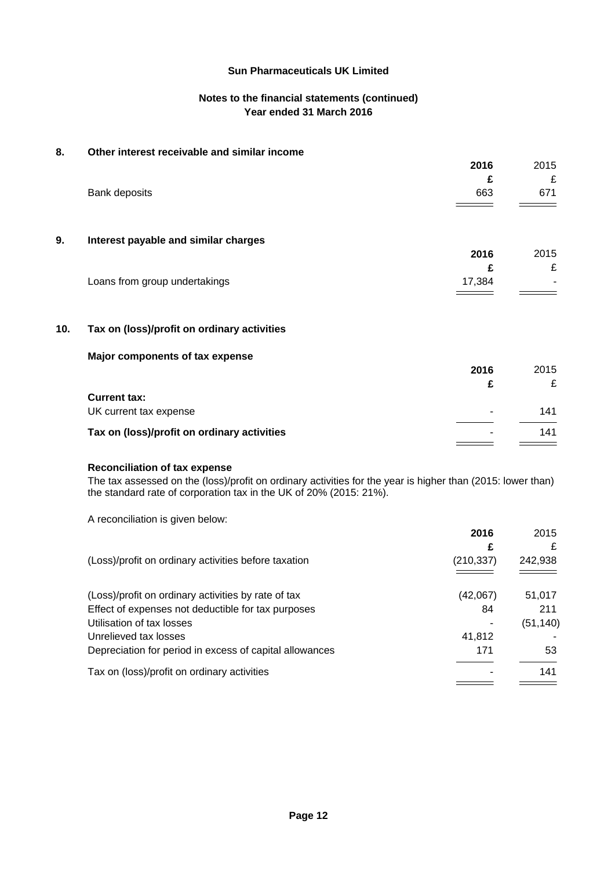## **Notes to the financial statements (continued) Year ended 31 March 2016**

### **8. Other interest receivable and similar income**

|     |                                             | 2016   | 2015 |
|-----|---------------------------------------------|--------|------|
|     |                                             | £      | £    |
|     | <b>Bank deposits</b>                        | 663    | 671  |
|     |                                             |        |      |
| 9.  | Interest payable and similar charges        |        |      |
|     |                                             | 2016   | 2015 |
|     |                                             | £      | £    |
|     | Loans from group undertakings               | 17,384 |      |
| 10. | Tax on (loss)/profit on ordinary activities |        |      |
|     | Major components of tax expense             |        |      |
|     |                                             | 2016   | 2015 |
|     |                                             | £      | £    |
|     | <b>Current tax:</b>                         |        |      |
|     | UK current tax expense                      |        | 141  |
|     | Tax on (loss)/profit on ordinary activities |        | 141  |
|     |                                             |        |      |

## **Reconciliation of tax expense**

The tax assessed on the (loss)/profit on ordinary activities for the year is higher than (2015: lower than) the standard rate of corporation tax in the UK of 20% (2015: 21%).

A reconciliation is given below:

|                                                         | 2016       | 2015      |
|---------------------------------------------------------|------------|-----------|
|                                                         | £          | £         |
| (Loss)/profit on ordinary activities before taxation    | (210, 337) | 242,938   |
|                                                         |            |           |
| (Loss)/profit on ordinary activities by rate of tax     | (42,067)   | 51,017    |
| Effect of expenses not deductible for tax purposes      | 84         | 211       |
| Utilisation of tax losses                               |            | (51, 140) |
| Unrelieved tax losses                                   | 41,812     |           |
| Depreciation for period in excess of capital allowances | 171        | 53        |
| Tax on (loss)/profit on ordinary activities             |            | 141       |
|                                                         |            |           |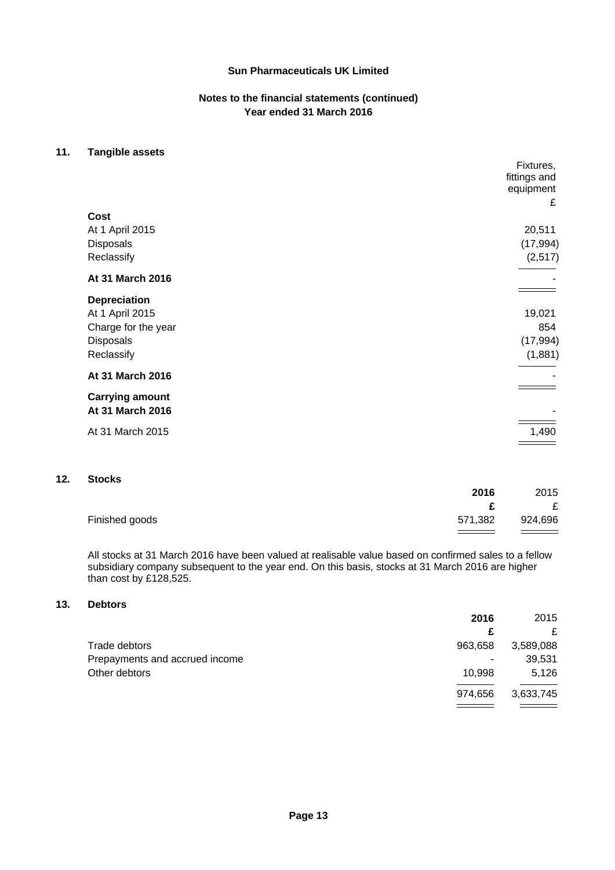## **Notes to the financial statements (continued) Year ended 31 March 2016**

## **11. Tangible assets**

|                        | Fixtures,    |
|------------------------|--------------|
|                        | fittings and |
|                        | equipment    |
|                        | £            |
| Cost                   |              |
| At 1 April 2015        | 20,511       |
| <b>Disposals</b>       | (17, 994)    |
| Reclassify             | (2, 517)     |
| At 31 March 2016       |              |
| <b>Depreciation</b>    |              |
| At 1 April 2015        | 19,021       |
| Charge for the year    | 854          |
| <b>Disposals</b>       | (17, 994)    |
| Reclassify             | (1,881)      |
| At 31 March 2016       |              |
| <b>Carrying amount</b> |              |
| At 31 March 2016       |              |
| At 31 March 2015       | 1,490        |
|                        |              |

# **12. Stocks**

|                | 2016    | 2015    |
|----------------|---------|---------|
|                |         | E       |
| Finished goods | 571,382 | 924,696 |

All stocks at 31 March 2016 have been valued at realisable value based on confirmed sales to a fellow subsidiary company subsequent to the year end. On this basis, stocks at 31 March 2016 are higher than cost by £128,525.

# **13. Debtors**

|                                | 2016    | 2015      |
|--------------------------------|---------|-----------|
|                                |         | £         |
| Trade debtors                  | 963,658 | 3,589,088 |
| Prepayments and accrued income | ۰       | 39,531    |
| Other debtors                  | 10.998  | 5,126     |
|                                | 974.656 | 3,633,745 |
|                                |         |           |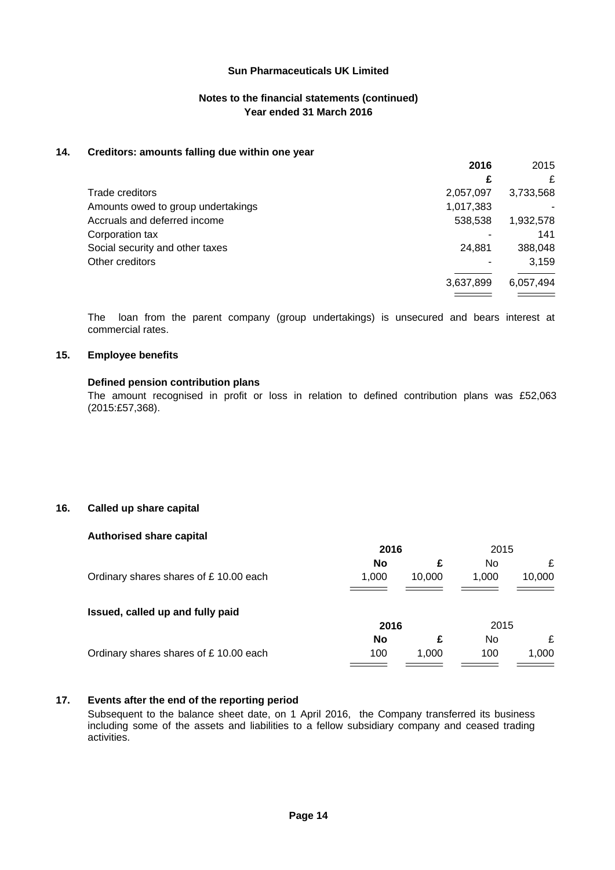## **Notes to the financial statements (continued) Year ended 31 March 2016**

## **14. Creditors: amounts falling due within one year**

|                                    | 2016      | 2015      |
|------------------------------------|-----------|-----------|
|                                    | £         | £         |
| Trade creditors                    | 2,057,097 | 3,733,568 |
| Amounts owed to group undertakings | 1,017,383 |           |
| Accruals and deferred income       | 538,538   | 1,932,578 |
| Corporation tax                    |           | 141       |
| Social security and other taxes    | 24,881    | 388,048   |
| Other creditors                    |           | 3,159     |
|                                    | 3,637,899 | 6,057,494 |
|                                    |           |           |

The loan from the parent company (group undertakings) is unsecured and bears interest at commercial rates.

## **15. Employee benefits**

# **Defined pension contribution plans**

The amount recognised in profit or loss in relation to defined contribution plans was £52,063 (2015:£57,368).

## **16. Called up share capital**

### **Authorised share capital**

|                                       | 2016  |        | 2015  |        |
|---------------------------------------|-------|--------|-------|--------|
|                                       | No    | £      | No    | £      |
| Ordinary shares shares of £10.00 each | 1,000 | 10.000 | 1.000 | 10,000 |
| Issued, called up and fully paid      |       |        |       |        |
|                                       | 2016  |        | 2015  |        |
|                                       | No    | £      | No    | £      |
| Ordinary shares shares of £10.00 each | 100   | 1.000  | 100   | 1,000  |

# **17. Events after the end of the reporting period**

Subsequent to the balance sheet date, on 1 April 2016, the Company transferred its business including some of the assets and liabilities to a fellow subsidiary company and ceased trading activities.